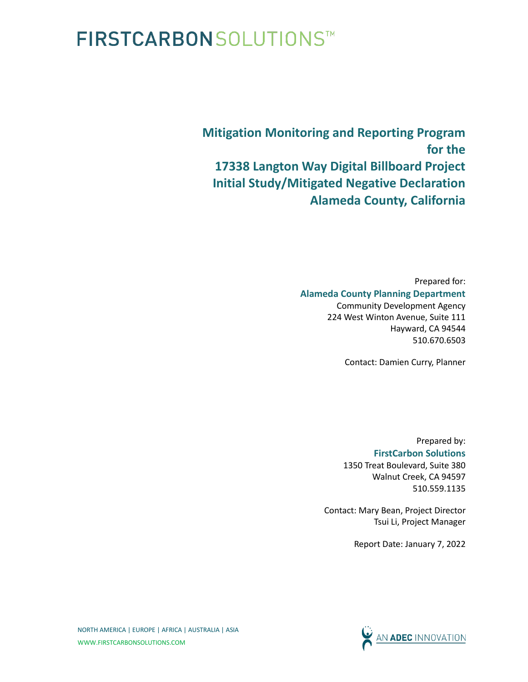## FIRSTCARBON SOLUTIONS™

**Mitigation Monitoring and Reporting Program for the 17338 Langton Way Digital Billboard Project Initial Study/Mitigated Negative Declaration Alameda County, California**

> Prepared for: **Alameda County Planning Department** Community Development Agency 224 West Winton Avenue, Suite 111 Hayward, CA 94544

> > Contact: Damien Curry, Planner

510.670.6503

Prepared by: **FirstCarbon Solutions** 1350 Treat Boulevard, Suite 380 Walnut Creek, CA 94597 510.559.1135

Contact: Mary Bean, Project Director Tsui Li, Project Manager

Report Date: January 7, 2022

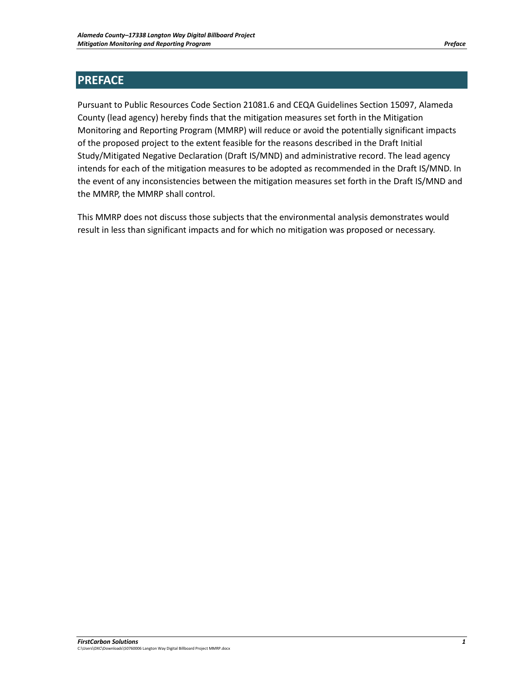## **PREFACE**

Pursuant to Public Resources Code Section 21081.6 and CEQA Guidelines Section 15097, Alameda County (lead agency) hereby finds that the mitigation measures set forth in the Mitigation Monitoring and Reporting Program (MMRP) will reduce or avoid the potentially significant impacts of the proposed project to the extent feasible for the reasons described in the Draft Initial Study/Mitigated Negative Declaration (Draft IS/MND) and administrative record. The lead agency intends for each of the mitigation measures to be adopted as recommended in the Draft IS/MND. In the event of any inconsistencies between the mitigation measures set forth in the Draft IS/MND and the MMRP, the MMRP shall control.

This MMRP does not discuss those subjects that the environmental analysis demonstrates would result in less than significant impacts and for which no mitigation was proposed or necessary.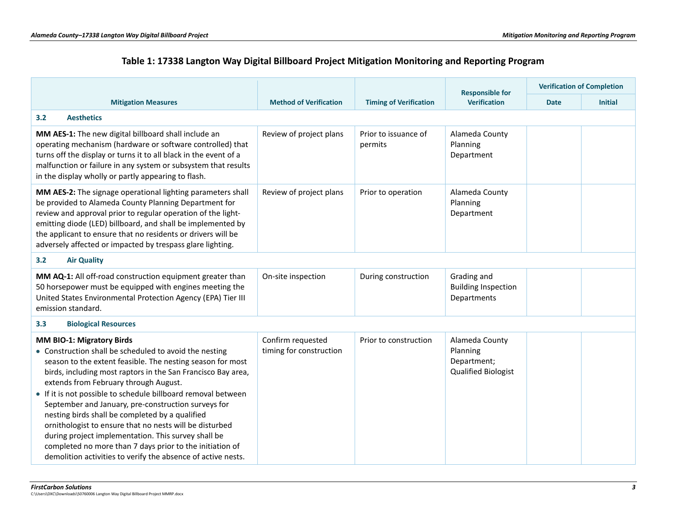## **Table 1: 17338 Langton Way Digital Billboard Project Mitigation Monitoring and Reporting Program**

|                                                                                                                                                                                                                                                                                                                                                                                                                                                                                                                                                                                                                                                                                     |                                              |                                 | <b>Responsible for</b>                                                  | <b>Verification of Completion</b> |                |
|-------------------------------------------------------------------------------------------------------------------------------------------------------------------------------------------------------------------------------------------------------------------------------------------------------------------------------------------------------------------------------------------------------------------------------------------------------------------------------------------------------------------------------------------------------------------------------------------------------------------------------------------------------------------------------------|----------------------------------------------|---------------------------------|-------------------------------------------------------------------------|-----------------------------------|----------------|
| <b>Mitigation Measures</b>                                                                                                                                                                                                                                                                                                                                                                                                                                                                                                                                                                                                                                                          | <b>Method of Verification</b>                | <b>Timing of Verification</b>   | <b>Verification</b>                                                     | <b>Date</b>                       | <b>Initial</b> |
| <b>Aesthetics</b><br>3.2                                                                                                                                                                                                                                                                                                                                                                                                                                                                                                                                                                                                                                                            |                                              |                                 |                                                                         |                                   |                |
| MM AES-1: The new digital billboard shall include an<br>operating mechanism (hardware or software controlled) that<br>turns off the display or turns it to all black in the event of a<br>malfunction or failure in any system or subsystem that results<br>in the display wholly or partly appearing to flash.                                                                                                                                                                                                                                                                                                                                                                     | Review of project plans                      | Prior to issuance of<br>permits | Alameda County<br>Planning<br>Department                                |                                   |                |
| MM AES-2: The signage operational lighting parameters shall<br>be provided to Alameda County Planning Department for<br>review and approval prior to regular operation of the light-<br>emitting diode (LED) billboard, and shall be implemented by<br>the applicant to ensure that no residents or drivers will be<br>adversely affected or impacted by trespass glare lighting.                                                                                                                                                                                                                                                                                                   | Review of project plans                      | Prior to operation              | Alameda County<br>Planning<br>Department                                |                                   |                |
| 3.2<br><b>Air Quality</b>                                                                                                                                                                                                                                                                                                                                                                                                                                                                                                                                                                                                                                                           |                                              |                                 |                                                                         |                                   |                |
| MM AQ-1: All off-road construction equipment greater than<br>50 horsepower must be equipped with engines meeting the<br>United States Environmental Protection Agency (EPA) Tier III<br>emission standard.                                                                                                                                                                                                                                                                                                                                                                                                                                                                          | On-site inspection                           | During construction             | Grading and<br><b>Building Inspection</b><br>Departments                |                                   |                |
| <b>Biological Resources</b><br>3.3                                                                                                                                                                                                                                                                                                                                                                                                                                                                                                                                                                                                                                                  |                                              |                                 |                                                                         |                                   |                |
| MM BIO-1: Migratory Birds<br>• Construction shall be scheduled to avoid the nesting<br>season to the extent feasible. The nesting season for most<br>birds, including most raptors in the San Francisco Bay area,<br>extends from February through August.<br>• If it is not possible to schedule billboard removal between<br>September and January, pre-construction surveys for<br>nesting birds shall be completed by a qualified<br>ornithologist to ensure that no nests will be disturbed<br>during project implementation. This survey shall be<br>completed no more than 7 days prior to the initiation of<br>demolition activities to verify the absence of active nests. | Confirm requested<br>timing for construction | Prior to construction           | Alameda County<br>Planning<br>Department;<br><b>Qualified Biologist</b> |                                   |                |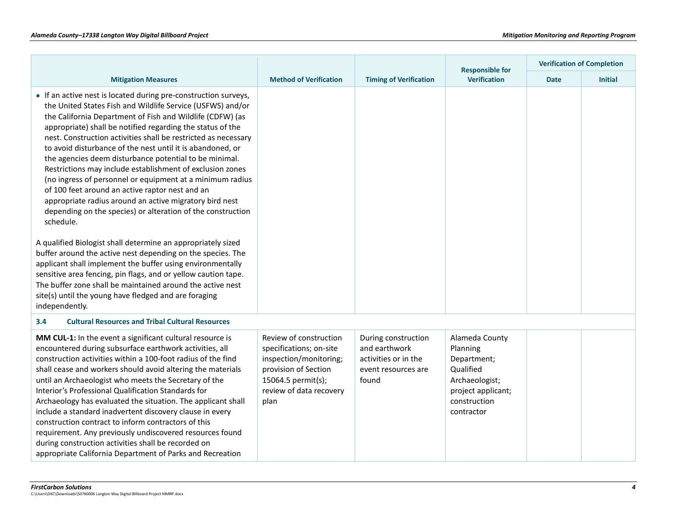|                                                                                                                                                                                                                                                                                                                                                                                                                                                                                                                                                                                                                                                                                                                                                                                                                                                                                                                                                                                                                                                                                                                                                                                |                                                                                                                                                              |                                                                                              | <b>Responsible for</b>                                                                                                       | <b>Verification of Completion</b> |                |
|--------------------------------------------------------------------------------------------------------------------------------------------------------------------------------------------------------------------------------------------------------------------------------------------------------------------------------------------------------------------------------------------------------------------------------------------------------------------------------------------------------------------------------------------------------------------------------------------------------------------------------------------------------------------------------------------------------------------------------------------------------------------------------------------------------------------------------------------------------------------------------------------------------------------------------------------------------------------------------------------------------------------------------------------------------------------------------------------------------------------------------------------------------------------------------|--------------------------------------------------------------------------------------------------------------------------------------------------------------|----------------------------------------------------------------------------------------------|------------------------------------------------------------------------------------------------------------------------------|-----------------------------------|----------------|
| <b>Mitigation Measures</b>                                                                                                                                                                                                                                                                                                                                                                                                                                                                                                                                                                                                                                                                                                                                                                                                                                                                                                                                                                                                                                                                                                                                                     | <b>Method of Verification</b>                                                                                                                                | <b>Timing of Verification</b><br><b>Verification</b>                                         |                                                                                                                              | <b>Date</b>                       | <b>Initial</b> |
| • If an active nest is located during pre-construction surveys,<br>the United States Fish and Wildlife Service (USFWS) and/or<br>the California Department of Fish and Wildlife (CDFW) (as<br>appropriate) shall be notified regarding the status of the<br>nest. Construction activities shall be restricted as necessary<br>to avoid disturbance of the nest until it is abandoned, or<br>the agencies deem disturbance potential to be minimal.<br>Restrictions may include establishment of exclusion zones<br>(no ingress of personnel or equipment at a minimum radius<br>of 100 feet around an active raptor nest and an<br>appropriate radius around an active migratory bird nest<br>depending on the species) or alteration of the construction<br>schedule.<br>A qualified Biologist shall determine an appropriately sized<br>buffer around the active nest depending on the species. The<br>applicant shall implement the buffer using environmentally<br>sensitive area fencing, pin flags, and or yellow caution tape.<br>The buffer zone shall be maintained around the active nest<br>site(s) until the young have fledged and are foraging<br>independently. |                                                                                                                                                              |                                                                                              |                                                                                                                              |                                   |                |
| <b>Cultural Resources and Tribal Cultural Resources</b><br>3.4                                                                                                                                                                                                                                                                                                                                                                                                                                                                                                                                                                                                                                                                                                                                                                                                                                                                                                                                                                                                                                                                                                                 |                                                                                                                                                              |                                                                                              |                                                                                                                              |                                   |                |
| MM CUL-1: In the event a significant cultural resource is<br>encountered during subsurface earthwork activities, all<br>construction activities within a 100-foot radius of the find<br>shall cease and workers should avoid altering the materials<br>until an Archaeologist who meets the Secretary of the<br>Interior's Professional Qualification Standards for<br>Archaeology has evaluated the situation. The applicant shall<br>include a standard inadvertent discovery clause in every<br>construction contract to inform contractors of this<br>requirement. Any previously undiscovered resources found<br>during construction activities shall be recorded on<br>appropriate California Department of Parks and Recreation                                                                                                                                                                                                                                                                                                                                                                                                                                         | Review of construction<br>specifications; on-site<br>inspection/monitoring;<br>provision of Section<br>15064.5 permit(s);<br>review of data recovery<br>plan | During construction<br>and earthwork<br>activities or in the<br>event resources are<br>found | Alameda County<br>Planning<br>Department;<br>Qualified<br>Archaeologist;<br>project applicant;<br>construction<br>contractor |                                   |                |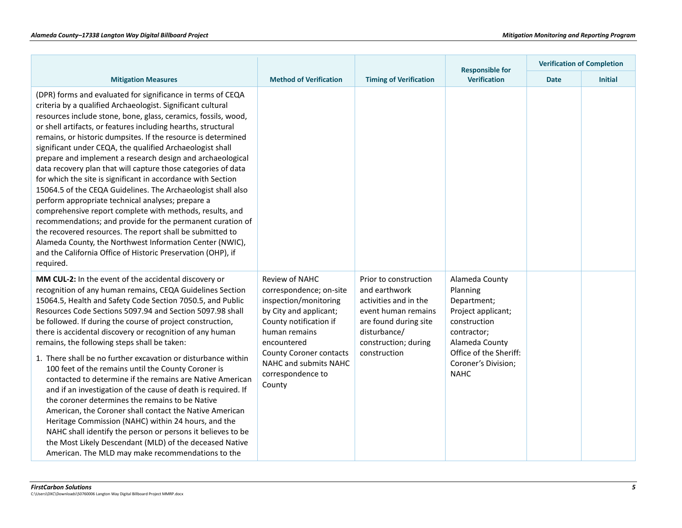|                                                                                                                                                                                                                                                                                                                                                                                                                                                                                                                                                                                                                                                                                                                                                                                                                                                                                                                                                                                                                                                 |                                                                                                                                                                                                                                                  |                                                                                                                                                                         | <b>Responsible for</b><br><b>Verification</b>                                                                                                                                    | <b>Verification of Completion</b> |                |  |
|-------------------------------------------------------------------------------------------------------------------------------------------------------------------------------------------------------------------------------------------------------------------------------------------------------------------------------------------------------------------------------------------------------------------------------------------------------------------------------------------------------------------------------------------------------------------------------------------------------------------------------------------------------------------------------------------------------------------------------------------------------------------------------------------------------------------------------------------------------------------------------------------------------------------------------------------------------------------------------------------------------------------------------------------------|--------------------------------------------------------------------------------------------------------------------------------------------------------------------------------------------------------------------------------------------------|-------------------------------------------------------------------------------------------------------------------------------------------------------------------------|----------------------------------------------------------------------------------------------------------------------------------------------------------------------------------|-----------------------------------|----------------|--|
| <b>Mitigation Measures</b>                                                                                                                                                                                                                                                                                                                                                                                                                                                                                                                                                                                                                                                                                                                                                                                                                                                                                                                                                                                                                      | <b>Method of Verification</b>                                                                                                                                                                                                                    | <b>Timing of Verification</b>                                                                                                                                           |                                                                                                                                                                                  | <b>Date</b>                       | <b>Initial</b> |  |
| (DPR) forms and evaluated for significance in terms of CEQA<br>criteria by a qualified Archaeologist. Significant cultural<br>resources include stone, bone, glass, ceramics, fossils, wood,<br>or shell artifacts, or features including hearths, structural<br>remains, or historic dumpsites. If the resource is determined<br>significant under CEQA, the qualified Archaeologist shall<br>prepare and implement a research design and archaeological<br>data recovery plan that will capture those categories of data<br>for which the site is significant in accordance with Section<br>15064.5 of the CEQA Guidelines. The Archaeologist shall also<br>perform appropriate technical analyses; prepare a<br>comprehensive report complete with methods, results, and<br>recommendations; and provide for the permanent curation of<br>the recovered resources. The report shall be submitted to<br>Alameda County, the Northwest Information Center (NWIC),<br>and the California Office of Historic Preservation (OHP), if<br>required. |                                                                                                                                                                                                                                                  |                                                                                                                                                                         |                                                                                                                                                                                  |                                   |                |  |
| MM CUL-2: In the event of the accidental discovery or<br>recognition of any human remains, CEQA Guidelines Section<br>15064.5, Health and Safety Code Section 7050.5, and Public<br>Resources Code Sections 5097.94 and Section 5097.98 shall<br>be followed. If during the course of project construction,<br>there is accidental discovery or recognition of any human<br>remains, the following steps shall be taken:<br>1. There shall be no further excavation or disturbance within<br>100 feet of the remains until the County Coroner is<br>contacted to determine if the remains are Native American<br>and if an investigation of the cause of death is required. If<br>the coroner determines the remains to be Native<br>American, the Coroner shall contact the Native American<br>Heritage Commission (NAHC) within 24 hours, and the<br>NAHC shall identify the person or persons it believes to be<br>the Most Likely Descendant (MLD) of the deceased Native<br>American. The MLD may make recommendations to the              | Review of NAHC<br>correspondence; on-site<br>inspection/monitoring<br>by City and applicant;<br>County notification if<br>human remains<br>encountered<br><b>County Coroner contacts</b><br>NAHC and submits NAHC<br>correspondence to<br>County | Prior to construction<br>and earthwork<br>activities and in the<br>event human remains<br>are found during site<br>disturbance/<br>construction; during<br>construction | Alameda County<br>Planning<br>Department;<br>Project applicant;<br>construction<br>contractor;<br>Alameda County<br>Office of the Sheriff:<br>Coroner's Division;<br><b>NAHC</b> |                                   |                |  |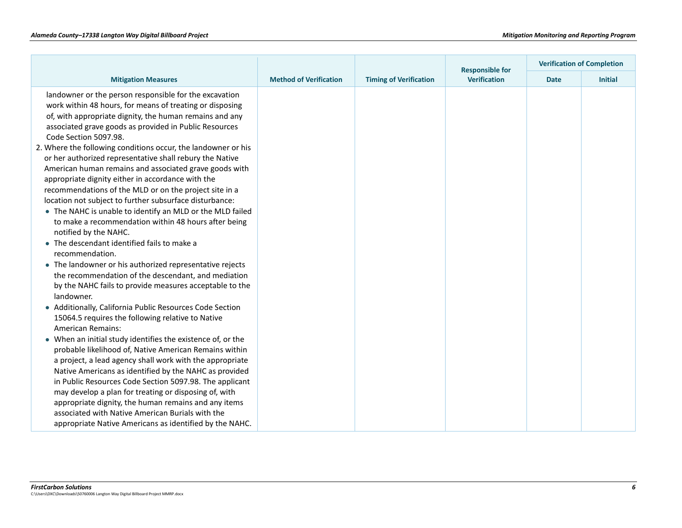|                                                                                                                                                                                                                                                                                                                                                                                                                                                                                                                                                                                                                                                                                                                                                                                                                                                                                                                                                                                                                                                                                                                                                                                                                                                                                                                                                                                                                                                                                             |                               |                               | <b>Responsible for</b> | <b>Verification of Completion</b> |                |  |
|---------------------------------------------------------------------------------------------------------------------------------------------------------------------------------------------------------------------------------------------------------------------------------------------------------------------------------------------------------------------------------------------------------------------------------------------------------------------------------------------------------------------------------------------------------------------------------------------------------------------------------------------------------------------------------------------------------------------------------------------------------------------------------------------------------------------------------------------------------------------------------------------------------------------------------------------------------------------------------------------------------------------------------------------------------------------------------------------------------------------------------------------------------------------------------------------------------------------------------------------------------------------------------------------------------------------------------------------------------------------------------------------------------------------------------------------------------------------------------------------|-------------------------------|-------------------------------|------------------------|-----------------------------------|----------------|--|
| <b>Mitigation Measures</b>                                                                                                                                                                                                                                                                                                                                                                                                                                                                                                                                                                                                                                                                                                                                                                                                                                                                                                                                                                                                                                                                                                                                                                                                                                                                                                                                                                                                                                                                  | <b>Method of Verification</b> | <b>Timing of Verification</b> | <b>Verification</b>    | <b>Date</b>                       | <b>Initial</b> |  |
| landowner or the person responsible for the excavation<br>work within 48 hours, for means of treating or disposing<br>of, with appropriate dignity, the human remains and any<br>associated grave goods as provided in Public Resources<br>Code Section 5097.98.<br>2. Where the following conditions occur, the landowner or his<br>or her authorized representative shall rebury the Native<br>American human remains and associated grave goods with<br>appropriate dignity either in accordance with the<br>recommendations of the MLD or on the project site in a<br>location not subject to further subsurface disturbance:<br>• The NAHC is unable to identify an MLD or the MLD failed<br>to make a recommendation within 48 hours after being<br>notified by the NAHC.<br>• The descendant identified fails to make a<br>recommendation.<br>• The landowner or his authorized representative rejects<br>the recommendation of the descendant, and mediation<br>by the NAHC fails to provide measures acceptable to the<br>landowner.<br>• Additionally, California Public Resources Code Section<br>15064.5 requires the following relative to Native<br>American Remains:<br>When an initial study identifies the existence of, or the<br>probable likelihood of, Native American Remains within<br>a project, a lead agency shall work with the appropriate<br>Native Americans as identified by the NAHC as provided<br>in Public Resources Code Section 5097.98. The applicant |                               |                               |                        |                                   |                |  |
| may develop a plan for treating or disposing of, with<br>appropriate dignity, the human remains and any items                                                                                                                                                                                                                                                                                                                                                                                                                                                                                                                                                                                                                                                                                                                                                                                                                                                                                                                                                                                                                                                                                                                                                                                                                                                                                                                                                                               |                               |                               |                        |                                   |                |  |
| associated with Native American Burials with the                                                                                                                                                                                                                                                                                                                                                                                                                                                                                                                                                                                                                                                                                                                                                                                                                                                                                                                                                                                                                                                                                                                                                                                                                                                                                                                                                                                                                                            |                               |                               |                        |                                   |                |  |
| appropriate Native Americans as identified by the NAHC.                                                                                                                                                                                                                                                                                                                                                                                                                                                                                                                                                                                                                                                                                                                                                                                                                                                                                                                                                                                                                                                                                                                                                                                                                                                                                                                                                                                                                                     |                               |                               |                        |                                   |                |  |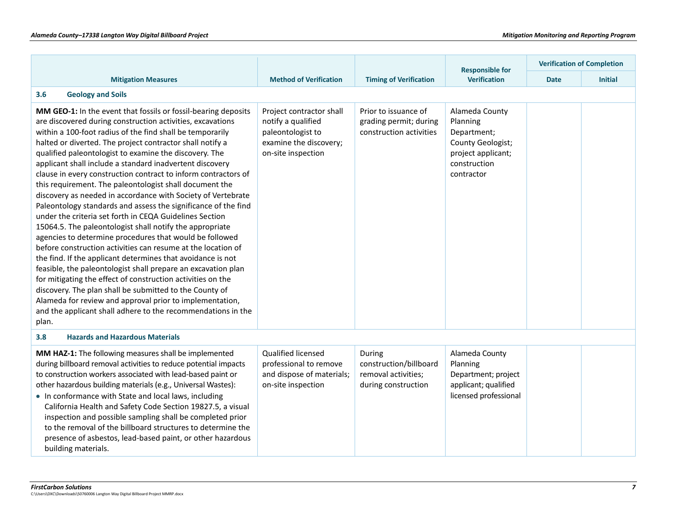|                                                                                                                                                                                                                                                                                                                                                                                                                                                                                                                                                                                                                                                                                                                                                                                                                                                                                                                                                                                                                                                                                                                                                                                                                                                                                              |                                                                                                                     |                                                                                | <b>Responsible for</b>                                                                                             |             | <b>Verification of Completion</b> |
|----------------------------------------------------------------------------------------------------------------------------------------------------------------------------------------------------------------------------------------------------------------------------------------------------------------------------------------------------------------------------------------------------------------------------------------------------------------------------------------------------------------------------------------------------------------------------------------------------------------------------------------------------------------------------------------------------------------------------------------------------------------------------------------------------------------------------------------------------------------------------------------------------------------------------------------------------------------------------------------------------------------------------------------------------------------------------------------------------------------------------------------------------------------------------------------------------------------------------------------------------------------------------------------------|---------------------------------------------------------------------------------------------------------------------|--------------------------------------------------------------------------------|--------------------------------------------------------------------------------------------------------------------|-------------|-----------------------------------|
| <b>Mitigation Measures</b>                                                                                                                                                                                                                                                                                                                                                                                                                                                                                                                                                                                                                                                                                                                                                                                                                                                                                                                                                                                                                                                                                                                                                                                                                                                                   | <b>Method of Verification</b>                                                                                       | <b>Timing of Verification</b>                                                  | <b>Verification</b>                                                                                                | <b>Date</b> | <b>Initial</b>                    |
| <b>Geology and Soils</b><br>3.6                                                                                                                                                                                                                                                                                                                                                                                                                                                                                                                                                                                                                                                                                                                                                                                                                                                                                                                                                                                                                                                                                                                                                                                                                                                              |                                                                                                                     |                                                                                |                                                                                                                    |             |                                   |
| MM GEO-1: In the event that fossils or fossil-bearing deposits<br>are discovered during construction activities, excavations<br>within a 100-foot radius of the find shall be temporarily<br>halted or diverted. The project contractor shall notify a<br>qualified paleontologist to examine the discovery. The<br>applicant shall include a standard inadvertent discovery<br>clause in every construction contract to inform contractors of<br>this requirement. The paleontologist shall document the<br>discovery as needed in accordance with Society of Vertebrate<br>Paleontology standards and assess the significance of the find<br>under the criteria set forth in CEQA Guidelines Section<br>15064.5. The paleontologist shall notify the appropriate<br>agencies to determine procedures that would be followed<br>before construction activities can resume at the location of<br>the find. If the applicant determines that avoidance is not<br>feasible, the paleontologist shall prepare an excavation plan<br>for mitigating the effect of construction activities on the<br>discovery. The plan shall be submitted to the County of<br>Alameda for review and approval prior to implementation,<br>and the applicant shall adhere to the recommendations in the<br>plan. | Project contractor shall<br>notify a qualified<br>paleontologist to<br>examine the discovery;<br>on-site inspection | Prior to issuance of<br>grading permit; during<br>construction activities      | Alameda County<br>Planning<br>Department;<br>County Geologist;<br>project applicant;<br>construction<br>contractor |             |                                   |
| <b>Hazards and Hazardous Materials</b><br>3.8                                                                                                                                                                                                                                                                                                                                                                                                                                                                                                                                                                                                                                                                                                                                                                                                                                                                                                                                                                                                                                                                                                                                                                                                                                                |                                                                                                                     |                                                                                |                                                                                                                    |             |                                   |
| MM HAZ-1: The following measures shall be implemented<br>during billboard removal activities to reduce potential impacts<br>to construction workers associated with lead-based paint or<br>other hazardous building materials (e.g., Universal Wastes):<br>. In conformance with State and local laws, including<br>California Health and Safety Code Section 19827.5, a visual<br>inspection and possible sampling shall be completed prior<br>to the removal of the billboard structures to determine the<br>presence of asbestos, lead-based paint, or other hazardous<br>building materials.                                                                                                                                                                                                                                                                                                                                                                                                                                                                                                                                                                                                                                                                                             | Qualified licensed<br>professional to remove<br>and dispose of materials;<br>on-site inspection                     | During<br>construction/billboard<br>removal activities;<br>during construction | Alameda County<br>Planning<br>Department; project<br>applicant; qualified<br>licensed professional                 |             |                                   |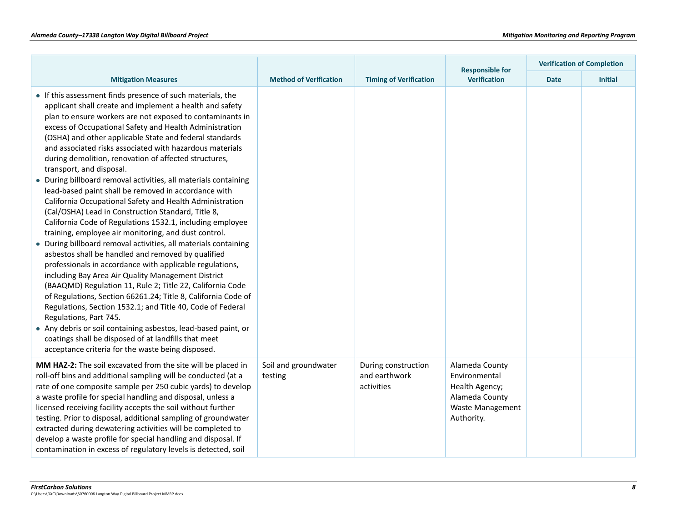|                                                                                                                                                                                                                                                                                                                                                                                                                                                                                                                                                                                                                                                                                                                                                                                                                                                                                                                                                                                                                                                                                                                                                                                                                                                                                                                                                                                                                                                                              |                                 |                                                    | <b>Responsible for</b>                                                                                       |             | <b>Verification of Completion</b> |
|------------------------------------------------------------------------------------------------------------------------------------------------------------------------------------------------------------------------------------------------------------------------------------------------------------------------------------------------------------------------------------------------------------------------------------------------------------------------------------------------------------------------------------------------------------------------------------------------------------------------------------------------------------------------------------------------------------------------------------------------------------------------------------------------------------------------------------------------------------------------------------------------------------------------------------------------------------------------------------------------------------------------------------------------------------------------------------------------------------------------------------------------------------------------------------------------------------------------------------------------------------------------------------------------------------------------------------------------------------------------------------------------------------------------------------------------------------------------------|---------------------------------|----------------------------------------------------|--------------------------------------------------------------------------------------------------------------|-------------|-----------------------------------|
| <b>Mitigation Measures</b>                                                                                                                                                                                                                                                                                                                                                                                                                                                                                                                                                                                                                                                                                                                                                                                                                                                                                                                                                                                                                                                                                                                                                                                                                                                                                                                                                                                                                                                   | <b>Method of Verification</b>   | <b>Timing of Verification</b>                      | <b>Verification</b>                                                                                          | <b>Date</b> | <b>Initial</b>                    |
| • If this assessment finds presence of such materials, the<br>applicant shall create and implement a health and safety<br>plan to ensure workers are not exposed to contaminants in<br>excess of Occupational Safety and Health Administration<br>(OSHA) and other applicable State and federal standards<br>and associated risks associated with hazardous materials<br>during demolition, renovation of affected structures,<br>transport, and disposal.<br>• During billboard removal activities, all materials containing<br>lead-based paint shall be removed in accordance with<br>California Occupational Safety and Health Administration<br>(Cal/OSHA) Lead in Construction Standard, Title 8,<br>California Code of Regulations 1532.1, including employee<br>training, employee air monitoring, and dust control.<br>• During billboard removal activities, all materials containing<br>asbestos shall be handled and removed by qualified<br>professionals in accordance with applicable regulations,<br>including Bay Area Air Quality Management District<br>(BAAQMD) Regulation 11, Rule 2; Title 22, California Code<br>of Regulations, Section 66261.24; Title 8, California Code of<br>Regulations, Section 1532.1; and Title 40, Code of Federal<br>Regulations, Part 745.<br>• Any debris or soil containing asbestos, lead-based paint, or<br>coatings shall be disposed of at landfills that meet<br>acceptance criteria for the waste being disposed. |                                 |                                                    |                                                                                                              |             |                                   |
| MM HAZ-2: The soil excavated from the site will be placed in<br>roll-off bins and additional sampling will be conducted (at a<br>rate of one composite sample per 250 cubic yards) to develop<br>a waste profile for special handling and disposal, unless a<br>licensed receiving facility accepts the soil without further<br>testing. Prior to disposal, additional sampling of groundwater<br>extracted during dewatering activities will be completed to<br>develop a waste profile for special handling and disposal. If<br>contamination in excess of regulatory levels is detected, soil                                                                                                                                                                                                                                                                                                                                                                                                                                                                                                                                                                                                                                                                                                                                                                                                                                                                             | Soil and groundwater<br>testing | During construction<br>and earthwork<br>activities | Alameda County<br>Environmental<br>Health Agency;<br>Alameda County<br><b>Waste Management</b><br>Authority. |             |                                   |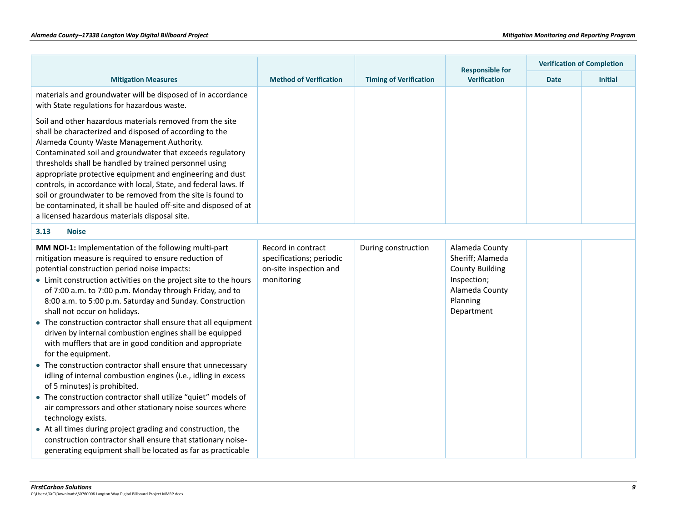|                                                                                                                                                                                                                                                                                                                                                                                                                                                                                                                                                                                                                                                                                                                                                                                                                                                                                                                                                                                                                                                                                                                        |                                                                                        |                               | <b>Verification of Completion</b><br><b>Responsible for</b>                                                             |             |                |
|------------------------------------------------------------------------------------------------------------------------------------------------------------------------------------------------------------------------------------------------------------------------------------------------------------------------------------------------------------------------------------------------------------------------------------------------------------------------------------------------------------------------------------------------------------------------------------------------------------------------------------------------------------------------------------------------------------------------------------------------------------------------------------------------------------------------------------------------------------------------------------------------------------------------------------------------------------------------------------------------------------------------------------------------------------------------------------------------------------------------|----------------------------------------------------------------------------------------|-------------------------------|-------------------------------------------------------------------------------------------------------------------------|-------------|----------------|
| <b>Mitigation Measures</b>                                                                                                                                                                                                                                                                                                                                                                                                                                                                                                                                                                                                                                                                                                                                                                                                                                                                                                                                                                                                                                                                                             | <b>Method of Verification</b>                                                          | <b>Timing of Verification</b> | <b>Verification</b>                                                                                                     | <b>Date</b> | <b>Initial</b> |
| materials and groundwater will be disposed of in accordance<br>with State regulations for hazardous waste.                                                                                                                                                                                                                                                                                                                                                                                                                                                                                                                                                                                                                                                                                                                                                                                                                                                                                                                                                                                                             |                                                                                        |                               |                                                                                                                         |             |                |
| Soil and other hazardous materials removed from the site<br>shall be characterized and disposed of according to the<br>Alameda County Waste Management Authority.<br>Contaminated soil and groundwater that exceeds regulatory<br>thresholds shall be handled by trained personnel using<br>appropriate protective equipment and engineering and dust<br>controls, in accordance with local, State, and federal laws. If<br>soil or groundwater to be removed from the site is found to<br>be contaminated, it shall be hauled off-site and disposed of at<br>a licensed hazardous materials disposal site.                                                                                                                                                                                                                                                                                                                                                                                                                                                                                                            |                                                                                        |                               |                                                                                                                         |             |                |
| 3.13<br><b>Noise</b>                                                                                                                                                                                                                                                                                                                                                                                                                                                                                                                                                                                                                                                                                                                                                                                                                                                                                                                                                                                                                                                                                                   |                                                                                        |                               |                                                                                                                         |             |                |
| MM NOI-1: Implementation of the following multi-part<br>mitigation measure is required to ensure reduction of<br>potential construction period noise impacts:<br>• Limit construction activities on the project site to the hours<br>of 7:00 a.m. to 7:00 p.m. Monday through Friday, and to<br>8:00 a.m. to 5:00 p.m. Saturday and Sunday. Construction<br>shall not occur on holidays.<br>• The construction contractor shall ensure that all equipment<br>driven by internal combustion engines shall be equipped<br>with mufflers that are in good condition and appropriate<br>for the equipment.<br>• The construction contractor shall ensure that unnecessary<br>idling of internal combustion engines (i.e., idling in excess<br>of 5 minutes) is prohibited.<br>• The construction contractor shall utilize "quiet" models of<br>air compressors and other stationary noise sources where<br>technology exists.<br>• At all times during project grading and construction, the<br>construction contractor shall ensure that stationary noise-<br>generating equipment shall be located as far as practicable | Record in contract<br>specifications; periodic<br>on-site inspection and<br>monitoring | During construction           | Alameda County<br>Sheriff; Alameda<br><b>County Building</b><br>Inspection;<br>Alameda County<br>Planning<br>Department |             |                |